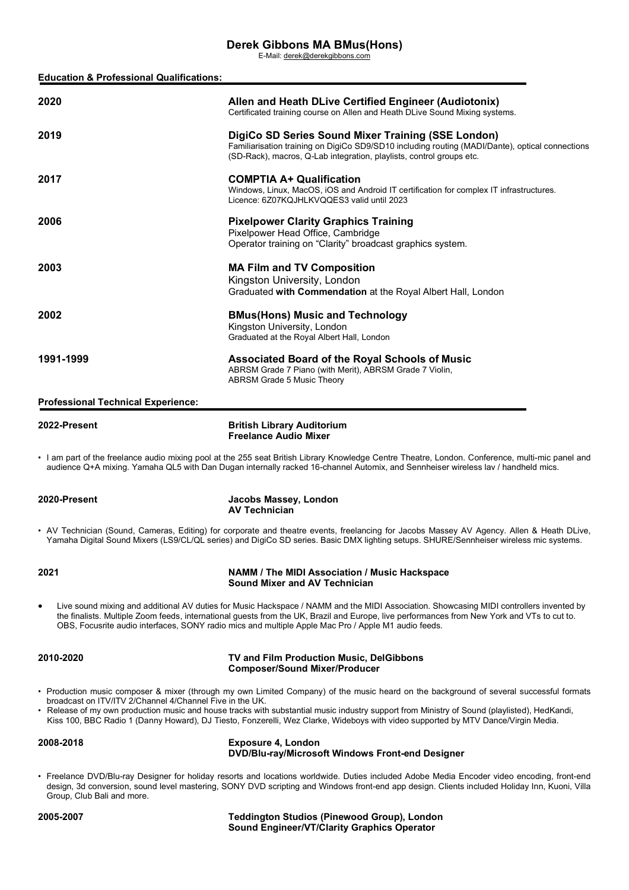# **Derek Gibbons MA BMus(Hons)**

E-Mail: [derek@derekgibbons.com](mailto:derek@derekgibbons.com)

| <b>Education &amp; Professional Qualifications:</b> |                                                                                                                                                                                                                                                                                     |
|-----------------------------------------------------|-------------------------------------------------------------------------------------------------------------------------------------------------------------------------------------------------------------------------------------------------------------------------------------|
| 2020                                                | Allen and Heath DLive Certified Engineer (Audiotonix)<br>Certificated training course on Allen and Heath DLive Sound Mixing systems.                                                                                                                                                |
| 2019                                                | DigiCo SD Series Sound Mixer Training (SSE London)<br>Familiarisation training on DigiCo SD9/SD10 including routing (MADI/Dante), optical connections<br>(SD-Rack), macros, Q-Lab integration, playlists, control groups etc.                                                       |
| 2017                                                | <b>COMPTIA A+ Qualification</b><br>Windows, Linux, MacOS, iOS and Android IT certification for complex IT infrastructures.<br>Licence: 6Z07KQJHLKVQQES3 valid until 2023                                                                                                            |
| 2006                                                | <b>Pixelpower Clarity Graphics Training</b><br>Pixelpower Head Office, Cambridge<br>Operator training on "Clarity" broadcast graphics system.                                                                                                                                       |
| 2003                                                | <b>MA Film and TV Composition</b><br>Kingston University, London<br>Graduated with Commendation at the Royal Albert Hall, London                                                                                                                                                    |
| 2002                                                | <b>BMus(Hons) Music and Technology</b><br>Kingston University, London<br>Graduated at the Royal Albert Hall, London                                                                                                                                                                 |
| 1991-1999                                           | <b>Associated Board of the Royal Schools of Music</b><br>ABRSM Grade 7 Piano (with Merit), ABRSM Grade 7 Violin,<br>ABRSM Grade 5 Music Theory                                                                                                                                      |
| <b>Professional Technical Experience:</b>           |                                                                                                                                                                                                                                                                                     |
| 2022-Present                                        | <b>British Library Auditorium</b><br><b>Freelance Audio Mixer</b>                                                                                                                                                                                                                   |
|                                                     | I am part of the freelance audio mixing pool at the 255 seat British Library Knowledge Centre Theatre, London. Conference, multi-mic panel and<br>audience Q+A mixing. Yamaha QL5 with Dan Dugan internally racked 16-channel Automix, and Sennheiser wireless lav / handheld mics. |
| 2020-Present                                        | Jacobs Massey, London<br><b>AV Technician</b>                                                                                                                                                                                                                                       |
|                                                     | • AV Technician (Sound, Cameras, Editing) for corporate and theatre events, freelancing for Jacobs Massey AV Agency. Allen & Heath DLive,<br>Yamaha Digital Sound Mixers (LS9/CL/QL series) and DigiCo SD series. Basic DMX lighting setups. SHURE/Sennheiser wireless mic systems. |
| 2021                                                | NAMM / The MIDI Association / Music Hackspace<br>Sound Mixer and AV Technician                                                                                                                                                                                                      |

• Live sound mixing and additional AV duties for Music Hackspace / NAMM and the MIDI Association. Showcasing MIDI controllers invented by the finalists. Multiple Zoom feeds, international guests from the UK, Brazil and Europe, live performances from New York and VTs to cut to. OBS, Focusrite audio interfaces, SONY radio mics and multiple Apple Mac Pro / Apple M1 audio feeds.

|  | 2010-2020 |
|--|-----------|
|--|-----------|

## **2010-2020 TV and Film Production Music, DelGibbons Composer/Sound Mixer/Producer**

- Production music composer & mixer (through my own Limited Company) of the music heard on the background of several successful formats broadcast on ITV/ITV 2/Channel 4/Channel Five in the UK.
- Release of my own production music and house tracks with substantial music industry support from Ministry of Sound (playlisted), HedKandi, Kiss 100, BBC Radio 1 (Danny Howard), DJ Tiesto, Fonzerelli, Wez Clarke, Wideboys with video supported by MTV Dance/Virgin Media.

**2008-2018 Exposure 4, London DVD/Blu-ray/Microsoft Windows Front-end Designer**

• Freelance DVD/Blu-ray Designer for holiday resorts and locations worldwide. Duties included Adobe Media Encoder video encoding, front-end design, 3d conversion, sound level mastering, SONY DVD scripting and Windows front-end app design. Clients included Holiday Inn, Kuoni, Villa Group, Club Bali and more.

**2005-2007 Teddington Studios (Pinewood Group), London Sound Engineer/VT/Clarity Graphics Operator**